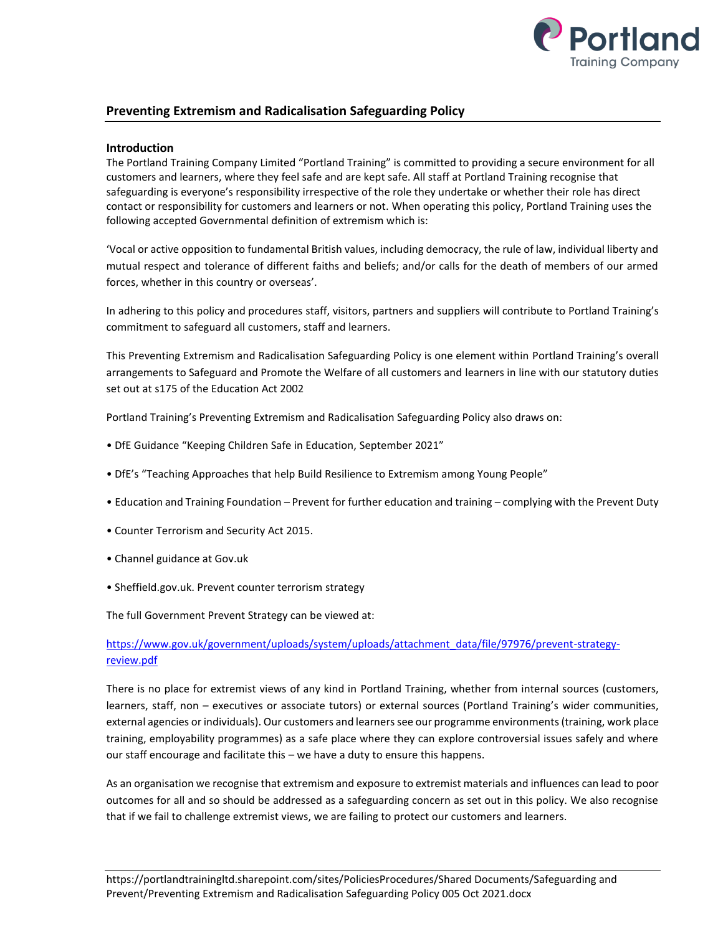

## **Preventing Extremism and Radicalisation Safeguarding Policy**

## **Introduction**

The Portland Training Company Limited "Portland Training" is committed to providing a secure environment for all customers and learners, where they feel safe and are kept safe. All staff at Portland Training recognise that safeguarding is everyone's responsibility irrespective of the role they undertake or whether their role has direct contact or responsibility for customers and learners or not. When operating this policy, Portland Training uses the following accepted Governmental definition of extremism which is:

'Vocal or active opposition to fundamental British values, including democracy, the rule of law, individual liberty and mutual respect and tolerance of different faiths and beliefs; and/or calls for the death of members of our armed forces, whether in this country or overseas'.

In adhering to this policy and procedures staff, visitors, partners and suppliers will contribute to Portland Training's commitment to safeguard all customers, staff and learners.

This Preventing Extremism and Radicalisation Safeguarding Policy is one element within Portland Training's overall arrangements to Safeguard and Promote the Welfare of all customers and learners in line with our statutory duties set out at s175 of the Education Act 2002

Portland Training's Preventing Extremism and Radicalisation Safeguarding Policy also draws on:

- DfE Guidance "Keeping Children Safe in Education, September 2021"
- DfE's "Teaching Approaches that help Build Resilience to Extremism among Young People"
- Education and Training Foundation Prevent for further education and training complying with the Prevent Duty
- Counter Terrorism and Security Act 2015.
- Channel guidance at Gov.uk
- Sheffield.gov.uk. Prevent counter terrorism strategy

The full Government Prevent Strategy can be viewed at:

## [https://www.gov.uk/government/uploads/system/uploads/attachment\\_data/file/97976/prevent-strategy](https://www.gov.uk/government/uploads/system/uploads/attachment_data/file/97976/prevent-strategy-review.pdf)[review.pdf](https://www.gov.uk/government/uploads/system/uploads/attachment_data/file/97976/prevent-strategy-review.pdf)

There is no place for extremist views of any kind in Portland Training, whether from internal sources (customers, learners, staff, non – executives or associate tutors) or external sources (Portland Training's wider communities, external agencies or individuals). Our customers and learners see our programme environments (training, work place training, employability programmes) as a safe place where they can explore controversial issues safely and where our staff encourage and facilitate this – we have a duty to ensure this happens.

As an organisation we recognise that extremism and exposure to extremist materials and influences can lead to poor outcomes for all and so should be addressed as a safeguarding concern as set out in this policy. We also recognise that if we fail to challenge extremist views, we are failing to protect our customers and learners.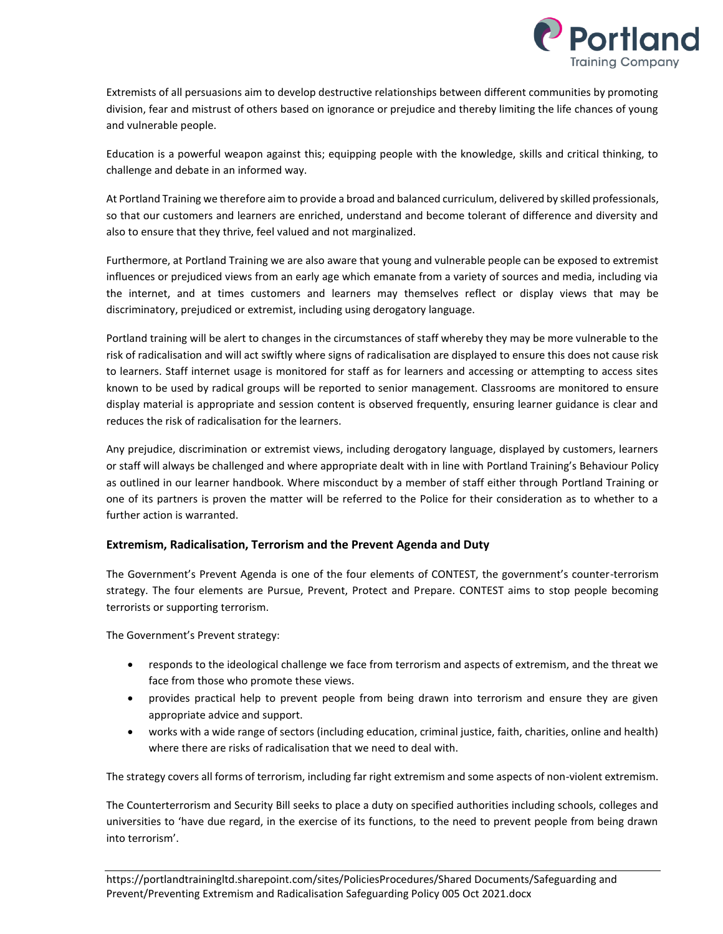

Extremists of all persuasions aim to develop destructive relationships between different communities by promoting division, fear and mistrust of others based on ignorance or prejudice and thereby limiting the life chances of young and vulnerable people.

Education is a powerful weapon against this; equipping people with the knowledge, skills and critical thinking, to challenge and debate in an informed way.

At Portland Training we therefore aim to provide a broad and balanced curriculum, delivered by skilled professionals, so that our customers and learners are enriched, understand and become tolerant of difference and diversity and also to ensure that they thrive, feel valued and not marginalized.

Furthermore, at Portland Training we are also aware that young and vulnerable people can be exposed to extremist influences or prejudiced views from an early age which emanate from a variety of sources and media, including via the internet, and at times customers and learners may themselves reflect or display views that may be discriminatory, prejudiced or extremist, including using derogatory language.

Portland training will be alert to changes in the circumstances of staff whereby they may be more vulnerable to the risk of radicalisation and will act swiftly where signs of radicalisation are displayed to ensure this does not cause risk to learners. Staff internet usage is monitored for staff as for learners and accessing or attempting to access sites known to be used by radical groups will be reported to senior management. Classrooms are monitored to ensure display material is appropriate and session content is observed frequently, ensuring learner guidance is clear and reduces the risk of radicalisation for the learners.

Any prejudice, discrimination or extremist views, including derogatory language, displayed by customers, learners or staff will always be challenged and where appropriate dealt with in line with Portland Training's Behaviour Policy as outlined in our learner handbook. Where misconduct by a member of staff either through Portland Training or one of its partners is proven the matter will be referred to the Police for their consideration as to whether to a further action is warranted.

## **Extremism, Radicalisation, Terrorism and the Prevent Agenda and Duty**

The Government's Prevent Agenda is one of the four elements of CONTEST, the government's counter-terrorism strategy. The four elements are Pursue, Prevent, Protect and Prepare. CONTEST aims to stop people becoming terrorists or supporting terrorism.

The Government's Prevent strategy:

- responds to the ideological challenge we face from terrorism and aspects of extremism, and the threat we face from those who promote these views.
- provides practical help to prevent people from being drawn into terrorism and ensure they are given appropriate advice and support.
- works with a wide range of sectors (including education, criminal justice, faith, charities, online and health) where there are risks of radicalisation that we need to deal with.

The strategy covers all forms of terrorism, including far right extremism and some aspects of non-violent extremism.

The Counterterrorism and Security Bill seeks to place a duty on specified authorities including schools, colleges and universities to 'have due regard, in the exercise of its functions, to the need to prevent people from being drawn into terrorism'.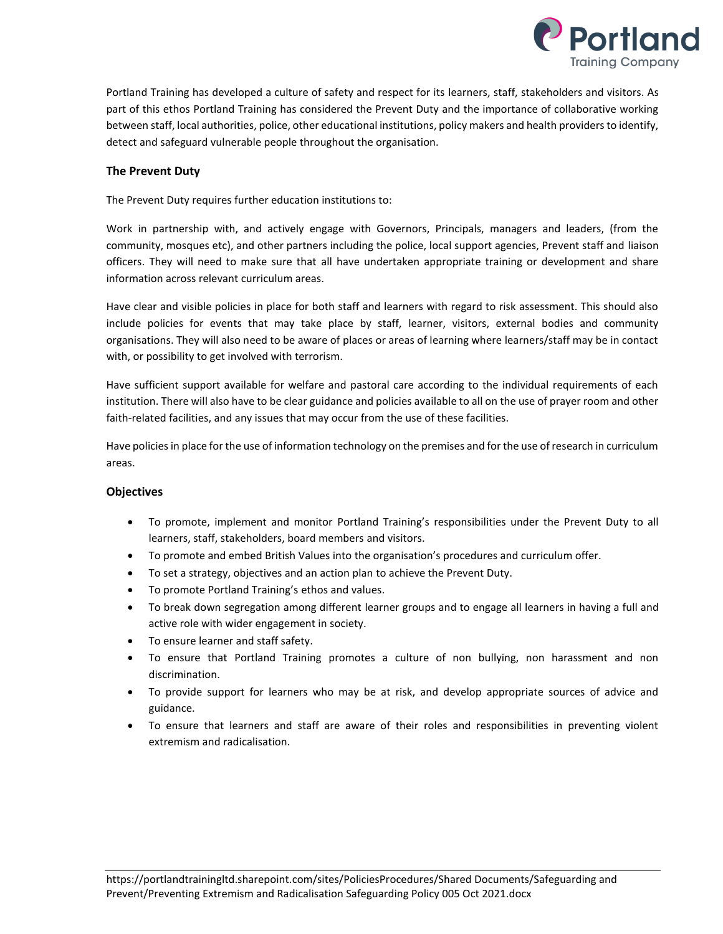

Portland Training has developed a culture of safety and respect for its learners, staff, stakeholders and visitors. As part of this ethos Portland Training has considered the Prevent Duty and the importance of collaborative working between staff, local authorities, police, other educational institutions, policy makers and health providers to identify, detect and safeguard vulnerable people throughout the organisation.

## **The Prevent Duty**

The Prevent Duty requires further education institutions to:

Work in partnership with, and actively engage with Governors, Principals, managers and leaders, (from the community, mosques etc), and other partners including the police, local support agencies, Prevent staff and liaison officers. They will need to make sure that all have undertaken appropriate training or development and share information across relevant curriculum areas.

Have clear and visible policies in place for both staff and learners with regard to risk assessment. This should also include policies for events that may take place by staff, learner, visitors, external bodies and community organisations. They will also need to be aware of places or areas of learning where learners/staff may be in contact with, or possibility to get involved with terrorism.

Have sufficient support available for welfare and pastoral care according to the individual requirements of each institution. There will also have to be clear guidance and policies available to all on the use of prayer room and other faith-related facilities, and any issues that may occur from the use of these facilities.

Have policies in place for the use of information technology on the premises and for the use of research in curriculum areas.

## **Objectives**

- To promote, implement and monitor Portland Training's responsibilities under the Prevent Duty to all learners, staff, stakeholders, board members and visitors.
- To promote and embed British Values into the organisation's procedures and curriculum offer.
- To set a strategy, objectives and an action plan to achieve the Prevent Duty.
- To promote Portland Training's ethos and values.
- To break down segregation among different learner groups and to engage all learners in having a full and active role with wider engagement in society.
- To ensure learner and staff safety.
- To ensure that Portland Training promotes a culture of non bullying, non harassment and non discrimination.
- To provide support for learners who may be at risk, and develop appropriate sources of advice and guidance.
- To ensure that learners and staff are aware of their roles and responsibilities in preventing violent extremism and radicalisation.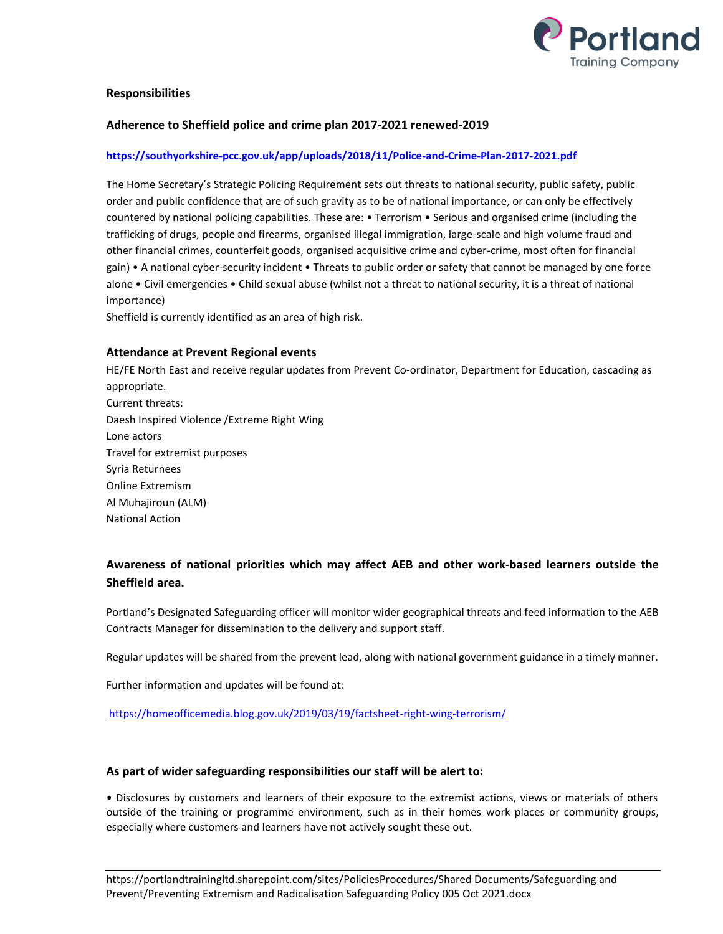

### **Responsibilities**

### **Adherence to Sheffield police and crime plan 2017-2021 renewed-2019**

#### **<https://southyorkshire-pcc.gov.uk/app/uploads/2018/11/Police-and-Crime-Plan-2017-2021.pdf>**

The Home Secretary's Strategic Policing Requirement sets out threats to national security, public safety, public order and public confidence that are of such gravity as to be of national importance, or can only be effectively countered by national policing capabilities. These are: • Terrorism • Serious and organised crime (including the trafficking of drugs, people and firearms, organised illegal immigration, large-scale and high volume fraud and other financial crimes, counterfeit goods, organised acquisitive crime and cyber-crime, most often for financial gain) • A national cyber-security incident • Threats to public order or safety that cannot be managed by one force alone • Civil emergencies • Child sexual abuse (whilst not a threat to national security, it is a threat of national importance)

Sheffield is currently identified as an area of high risk.

#### **Attendance at Prevent Regional events**

HE/FE North East and receive regular updates from Prevent Co-ordinator, Department for Education, cascading as appropriate. Current threats: Daesh Inspired Violence /Extreme Right Wing Lone actors Travel for extremist purposes Syria Returnees Online Extremism Al Muhajiroun (ALM) National Action

# **Awareness of national priorities which may affect AEB and other work-based learners outside the Sheffield area.**

Portland's Designated Safeguarding officer will monitor wider geographical threats and feed information to the AEB Contracts Manager for dissemination to the delivery and support staff.

Regular updates will be shared from the prevent lead, along with national government guidance in a timely manner.

Further information and updates will be found at:

<https://homeofficemedia.blog.gov.uk/2019/03/19/factsheet-right-wing-terrorism/>

#### **As part of wider safeguarding responsibilities our staff will be alert to:**

• Disclosures by customers and learners of their exposure to the extremist actions, views or materials of others outside of the training or programme environment, such as in their homes work places or community groups, especially where customers and learners have not actively sought these out.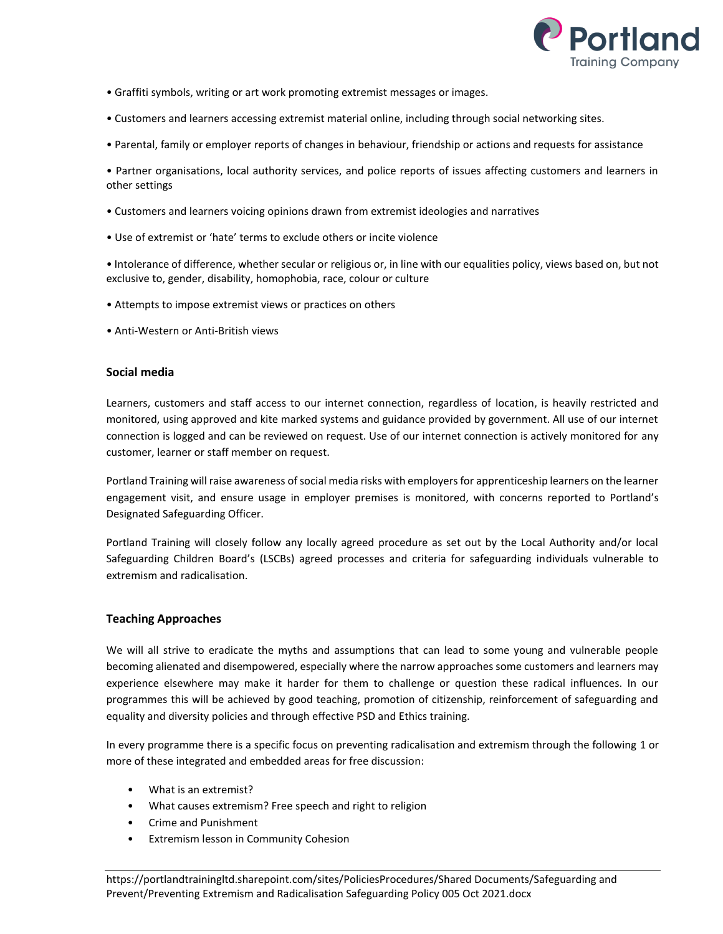

- Graffiti symbols, writing or art work promoting extremist messages or images.
- Customers and learners accessing extremist material online, including through social networking sites.
- Parental, family or employer reports of changes in behaviour, friendship or actions and requests for assistance

• Partner organisations, local authority services, and police reports of issues affecting customers and learners in other settings

- Customers and learners voicing opinions drawn from extremist ideologies and narratives
- Use of extremist or 'hate' terms to exclude others or incite violence

• Intolerance of difference, whether secular or religious or, in line with our equalities policy, views based on, but not exclusive to, gender, disability, homophobia, race, colour or culture

- Attempts to impose extremist views or practices on others
- Anti-Western or Anti-British views

#### **Social media**

Learners, customers and staff access to our internet connection, regardless of location, is heavily restricted and monitored, using approved and kite marked systems and guidance provided by government. All use of our internet connection is logged and can be reviewed on request. Use of our internet connection is actively monitored for any customer, learner or staff member on request.

Portland Training will raise awareness of social media risks with employers for apprenticeship learners on the learner engagement visit, and ensure usage in employer premises is monitored, with concerns reported to Portland's Designated Safeguarding Officer.

Portland Training will closely follow any locally agreed procedure as set out by the Local Authority and/or local Safeguarding Children Board's (LSCBs) agreed processes and criteria for safeguarding individuals vulnerable to extremism and radicalisation.

## **Teaching Approaches**

We will all strive to eradicate the myths and assumptions that can lead to some young and vulnerable people becoming alienated and disempowered, especially where the narrow approaches some customers and learners may experience elsewhere may make it harder for them to challenge or question these radical influences. In our programmes this will be achieved by good teaching, promotion of citizenship, reinforcement of safeguarding and equality and diversity policies and through effective PSD and Ethics training.

In every programme there is a specific focus on preventing radicalisation and extremism through the following 1 or more of these integrated and embedded areas for free discussion:

- What is an extremist?
- What causes extremism? Free speech and right to religion
- Crime and Punishment
- Extremism lesson in Community Cohesion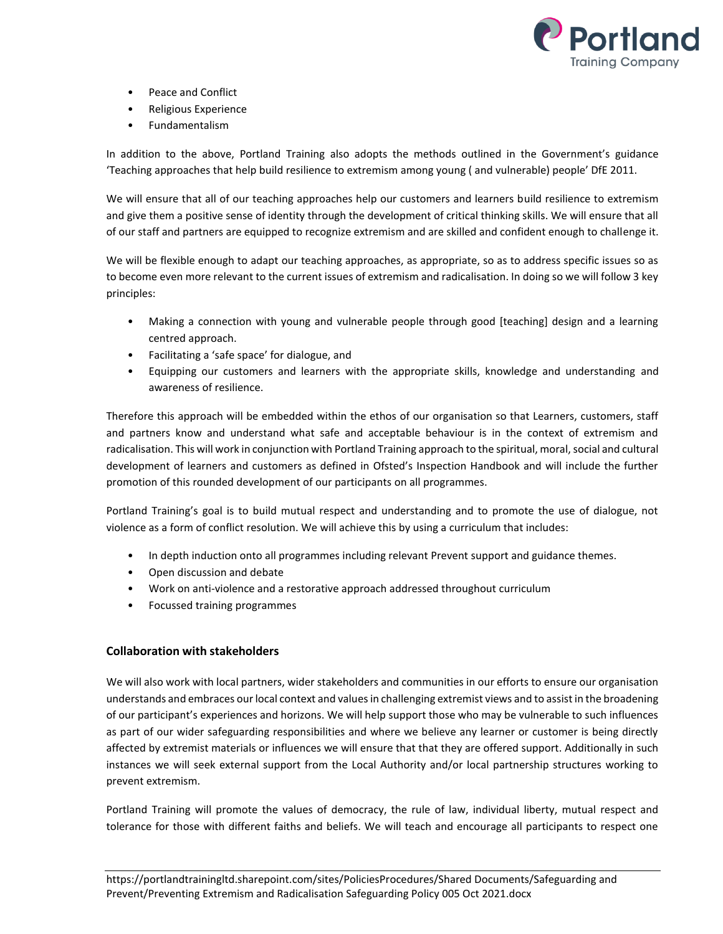

- Peace and Conflict
- Religious Experience
- Fundamentalism

In addition to the above, Portland Training also adopts the methods outlined in the Government's guidance 'Teaching approaches that help build resilience to extremism among young ( and vulnerable) people' DfE 2011.

We will ensure that all of our teaching approaches help our customers and learners build resilience to extremism and give them a positive sense of identity through the development of critical thinking skills. We will ensure that all of our staff and partners are equipped to recognize extremism and are skilled and confident enough to challenge it.

We will be flexible enough to adapt our teaching approaches, as appropriate, so as to address specific issues so as to become even more relevant to the current issues of extremism and radicalisation. In doing so we will follow 3 key principles:

- Making a connection with young and vulnerable people through good [teaching] design and a learning centred approach.
- Facilitating a 'safe space' for dialogue, and
- Equipping our customers and learners with the appropriate skills, knowledge and understanding and awareness of resilience.

Therefore this approach will be embedded within the ethos of our organisation so that Learners, customers, staff and partners know and understand what safe and acceptable behaviour is in the context of extremism and radicalisation. This will work in conjunction with Portland Training approach to the spiritual, moral, social and cultural development of learners and customers as defined in Ofsted's Inspection Handbook and will include the further promotion of this rounded development of our participants on all programmes.

Portland Training's goal is to build mutual respect and understanding and to promote the use of dialogue, not violence as a form of conflict resolution. We will achieve this by using a curriculum that includes:

- In depth induction onto all programmes including relevant Prevent support and guidance themes.
- Open discussion and debate
- Work on anti-violence and a restorative approach addressed throughout curriculum
- Focussed training programmes

## **Collaboration with stakeholders**

We will also work with local partners, wider stakeholders and communities in our efforts to ensure our organisation understands and embraces our local context and values in challenging extremist views and to assist in the broadening of our participant's experiences and horizons. We will help support those who may be vulnerable to such influences as part of our wider safeguarding responsibilities and where we believe any learner or customer is being directly affected by extremist materials or influences we will ensure that that they are offered support. Additionally in such instances we will seek external support from the Local Authority and/or local partnership structures working to prevent extremism.

Portland Training will promote the values of democracy, the rule of law, individual liberty, mutual respect and tolerance for those with different faiths and beliefs. We will teach and encourage all participants to respect one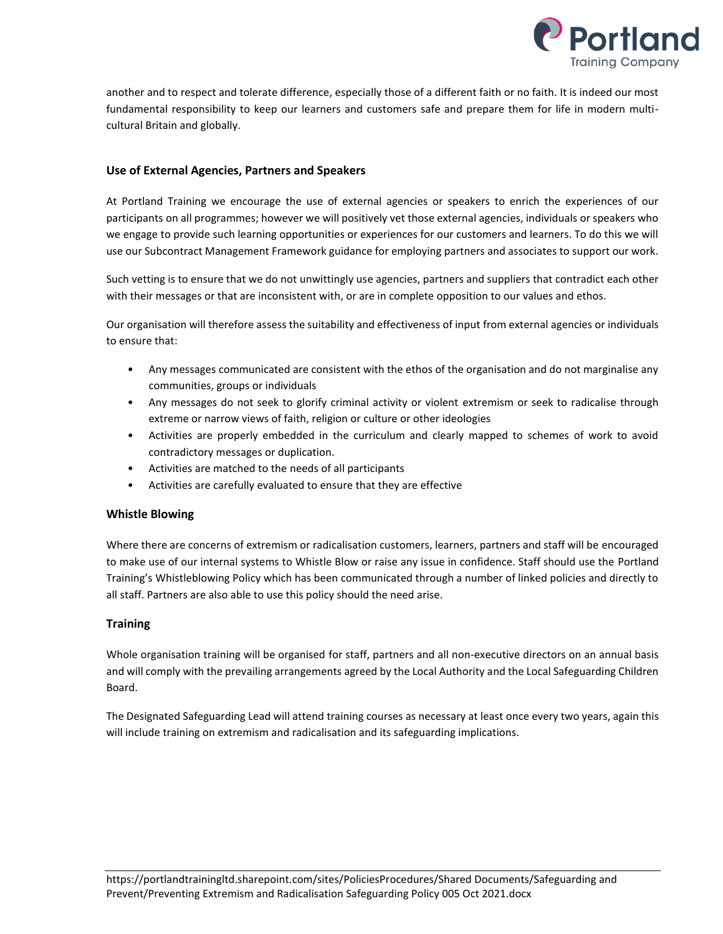

another and to respect and tolerate difference, especially those of a different faith or no faith. It is indeed our most fundamental responsibility to keep our learners and customers safe and prepare them for life in modern multicultural Britain and globally.

## **Use of External Agencies, Partners and Speakers**

At Portland Training we encourage the use of external agencies or speakers to enrich the experiences of our participants on all programmes; however we will positively vet those external agencies, individuals or speakers who we engage to provide such learning opportunities or experiences for our customers and learners. To do this we will use our Subcontract Management Framework guidance for employing partners and associates to support our work.

Such vetting is to ensure that we do not unwittingly use agencies, partners and suppliers that contradict each other with their messages or that are inconsistent with, or are in complete opposition to our values and ethos.

Our organisation will therefore assess the suitability and effectiveness of input from external agencies or individuals to ensure that:

- Any messages communicated are consistent with the ethos of the organisation and do not marginalise any communities, groups or individuals
- Any messages do not seek to glorify criminal activity or violent extremism or seek to radicalise through extreme or narrow views of faith, religion or culture or other ideologies
- Activities are properly embedded in the curriculum and clearly mapped to schemes of work to avoid contradictory messages or duplication.
- Activities are matched to the needs of all participants
- Activities are carefully evaluated to ensure that they are effective

## **Whistle Blowing**

Where there are concerns of extremism or radicalisation customers, learners, partners and staff will be encouraged to make use of our internal systems to Whistle Blow or raise any issue in confidence. Staff should use the Portland Training's Whistleblowing Policy which has been communicated through a number of linked policies and directly to all staff. Partners are also able to use this policy should the need arise.

## **Training**

Whole organisation training will be organised for staff, partners and all non-executive directors on an annual basis and will comply with the prevailing arrangements agreed by the Local Authority and the Local Safeguarding Children Board.

The Designated Safeguarding Lead will attend training courses as necessary at least once every two years, again this will include training on extremism and radicalisation and its safeguarding implications.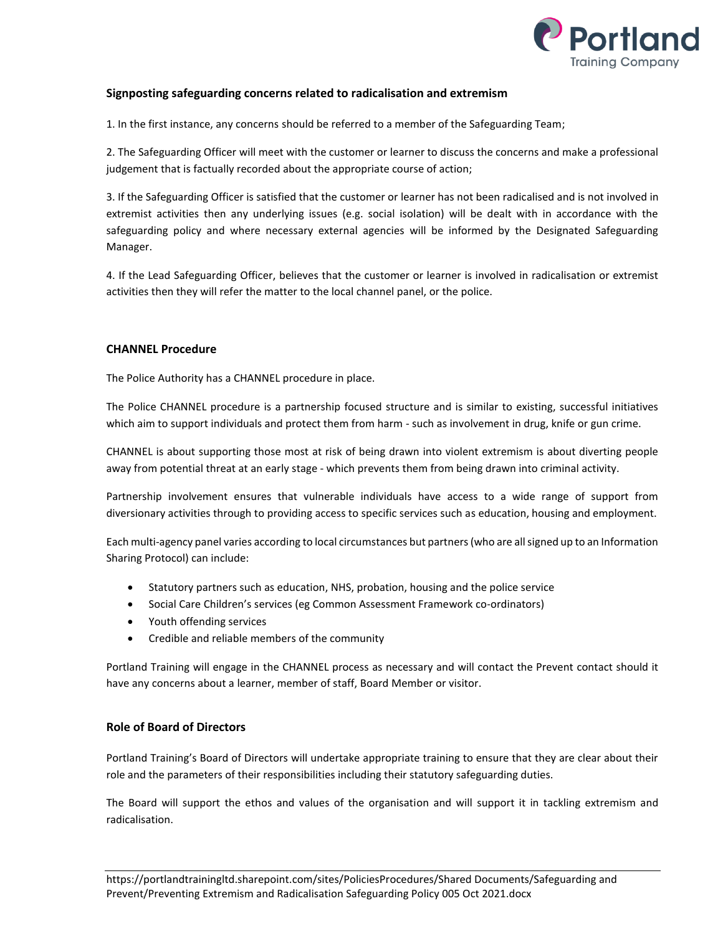

## **Signposting safeguarding concerns related to radicalisation and extremism**

1. In the first instance, any concerns should be referred to a member of the Safeguarding Team;

2. The Safeguarding Officer will meet with the customer or learner to discuss the concerns and make a professional judgement that is factually recorded about the appropriate course of action;

3. If the Safeguarding Officer is satisfied that the customer or learner has not been radicalised and is not involved in extremist activities then any underlying issues (e.g. social isolation) will be dealt with in accordance with the safeguarding policy and where necessary external agencies will be informed by the Designated Safeguarding Manager.

4. If the Lead Safeguarding Officer, believes that the customer or learner is involved in radicalisation or extremist activities then they will refer the matter to the local channel panel, or the police.

## **CHANNEL Procedure**

The Police Authority has a CHANNEL procedure in place.

The Police CHANNEL procedure is a partnership focused structure and is similar to existing, successful initiatives which aim to support individuals and protect them from harm - such as involvement in drug, knife or gun crime.

CHANNEL is about supporting those most at risk of being drawn into violent extremism is about diverting people away from potential threat at an early stage - which prevents them from being drawn into criminal activity.

Partnership involvement ensures that vulnerable individuals have access to a wide range of support from diversionary activities through to providing access to specific services such as education, housing and employment.

Each multi-agency panel varies according to local circumstances but partners (who are all signed up to an Information Sharing Protocol) can include:

- Statutory partners such as education, NHS, probation, housing and the police service
- Social Care Children's services (eg Common Assessment Framework co-ordinators)
- Youth offending services
- Credible and reliable members of the community

Portland Training will engage in the CHANNEL process as necessary and will contact the Prevent contact should it have any concerns about a learner, member of staff, Board Member or visitor.

## **Role of Board of Directors**

Portland Training's Board of Directors will undertake appropriate training to ensure that they are clear about their role and the parameters of their responsibilities including their statutory safeguarding duties.

The Board will support the ethos and values of the organisation and will support it in tackling extremism and radicalisation.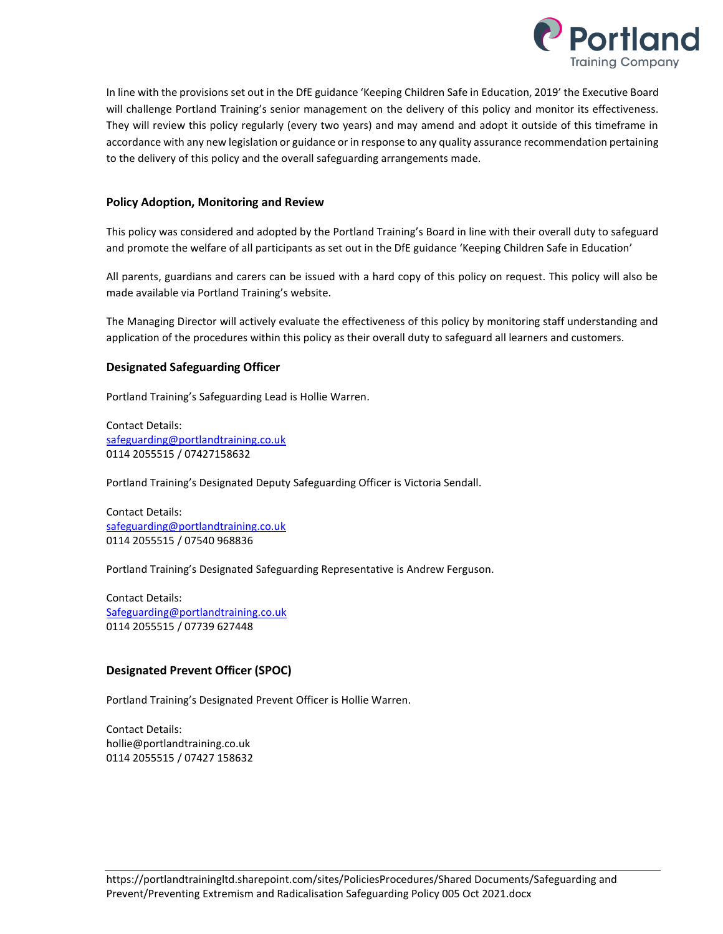

In line with the provisions set out in the DfE guidance 'Keeping Children Safe in Education, 2019' the Executive Board will challenge Portland Training's senior management on the delivery of this policy and monitor its effectiveness. They will review this policy regularly (every two years) and may amend and adopt it outside of this timeframe in accordance with any new legislation or guidance or in response to any quality assurance recommendation pertaining to the delivery of this policy and the overall safeguarding arrangements made.

## **Policy Adoption, Monitoring and Review**

This policy was considered and adopted by the Portland Training's Board in line with their overall duty to safeguard and promote the welfare of all participants as set out in the DfE guidance 'Keeping Children Safe in Education'

All parents, guardians and carers can be issued with a hard copy of this policy on request. This policy will also be made available via Portland Training's website.

The Managing Director will actively evaluate the effectiveness of this policy by monitoring staff understanding and application of the procedures within this policy as their overall duty to safeguard all learners and customers.

## **Designated Safeguarding Officer**

Portland Training's Safeguarding Lead is Hollie Warren.

Contact Details: [safeguarding@portlandtraining.co.uk](mailto:safeguarding@portlandtraining.co.uk) 0114 2055515 / 07427158632

Portland Training's Designated Deputy Safeguarding Officer is Victoria Sendall.

Contact Details: [safeguarding@portlandtraining.co.uk](mailto:safeguarding@portlandtraining.co.uk) 0114 2055515 / 07540 968836

Portland Training's Designated Safeguarding Representative is Andrew Ferguson.

Contact Details: [Safeguarding@portlandtraining.co.uk](mailto:Safeguarding@portlandtraining.co.uk) 0114 2055515 / 07739 627448

## **Designated Prevent Officer (SPOC)**

Portland Training's Designated Prevent Officer is Hollie Warren.

Contact Details: hollie@portlandtraining.co.uk 0114 2055515 / 07427 158632